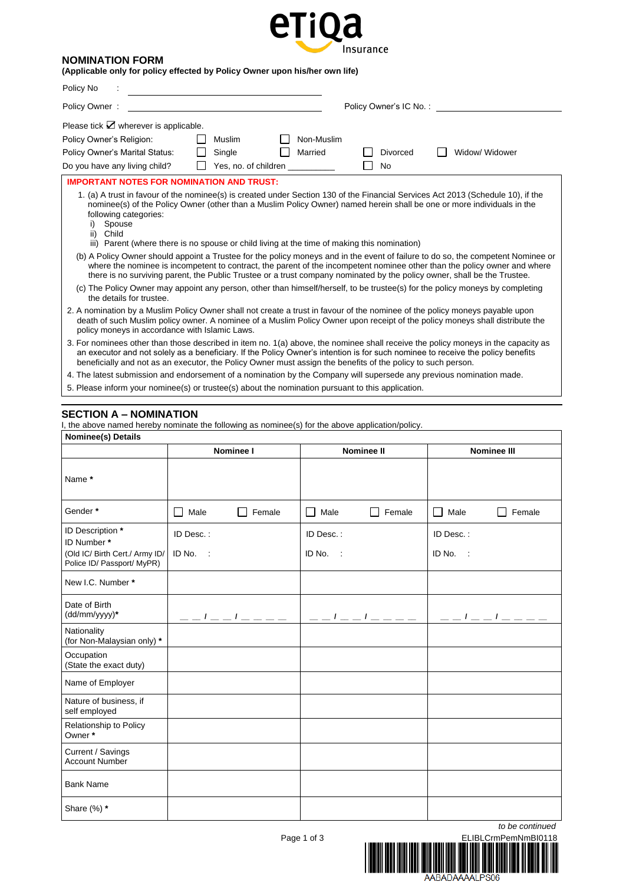

## **NOMINATION FORM**

|  |  | (Applicable only for policy effected by Policy Owner upon his/her own life) |
|--|--|-----------------------------------------------------------------------------|
|--|--|-----------------------------------------------------------------------------|

| Policy No                                                                                                                                                                                                                                       |                                                                                                                                                                                                                                                                                                                                                                                                                                                                                                                                                                                                                                                         |
|-------------------------------------------------------------------------------------------------------------------------------------------------------------------------------------------------------------------------------------------------|---------------------------------------------------------------------------------------------------------------------------------------------------------------------------------------------------------------------------------------------------------------------------------------------------------------------------------------------------------------------------------------------------------------------------------------------------------------------------------------------------------------------------------------------------------------------------------------------------------------------------------------------------------|
| Policy Owner:                                                                                                                                                                                                                                   | Policy Owner's IC No.:                                                                                                                                                                                                                                                                                                                                                                                                                                                                                                                                                                                                                                  |
| Please tick $\angle$ wherever is applicable.                                                                                                                                                                                                    |                                                                                                                                                                                                                                                                                                                                                                                                                                                                                                                                                                                                                                                         |
| Policy Owner's Religion:<br>Muslim                                                                                                                                                                                                              | Non-Muslim                                                                                                                                                                                                                                                                                                                                                                                                                                                                                                                                                                                                                                              |
| Single<br>Policy Owner's Marital Status:                                                                                                                                                                                                        | Married<br>Widow/ Widower<br><b>Divorced</b>                                                                                                                                                                                                                                                                                                                                                                                                                                                                                                                                                                                                            |
| Yes, no. of children<br>Do you have any living child?                                                                                                                                                                                           | No                                                                                                                                                                                                                                                                                                                                                                                                                                                                                                                                                                                                                                                      |
| <b>IMPORTANT NOTES FOR NOMINATION AND TRUST:</b>                                                                                                                                                                                                |                                                                                                                                                                                                                                                                                                                                                                                                                                                                                                                                                                                                                                                         |
| following categories:<br>Spouse<br>Child<br>ii)<br>iii) Parent (where there is no spouse or child living at the time of making this nomination)                                                                                                 | 1. (a) A trust in favour of the nominee(s) is created under Section 130 of the Financial Services Act 2013 (Schedule 10), if the<br>nominee(s) of the Policy Owner (other than a Muslim Policy Owner) named herein shall be one or more individuals in the<br>(b) A Policy Owner should appoint a Trustee for the policy moneys and in the event of failure to do so, the competent Nominee or<br>where the nominee is incompetent to contract, the parent of the incompetent nominee other than the policy owner and where<br>there is no surviving parent, the Public Trustee or a trust company nominated by the policy owner, shall be the Trustee. |
| the details for trustee.                                                                                                                                                                                                                        | (c) The Policy Owner may appoint any person, other than himself/herself, to be trustee(s) for the policy moneys by completing                                                                                                                                                                                                                                                                                                                                                                                                                                                                                                                           |
| 2. A nomination by a Muslim Policy Owner shall not create a trust in favour of the nominee of the policy moneys payable upon<br>policy moneys in accordance with Islamic Laws.                                                                  | death of such Muslim policy owner. A nominee of a Muslim Policy Owner upon receipt of the policy moneys shall distribute the                                                                                                                                                                                                                                                                                                                                                                                                                                                                                                                            |
| an executor and not solely as a beneficiary. If the Policy Owner's intention is for such nominee to receive the policy benefits<br>beneficially and not as an executor, the Policy Owner must assign the benefits of the policy to such person. | 3. For nominees other than those described in item no. 1(a) above, the nominee shall receive the policy moneys in the capacity as                                                                                                                                                                                                                                                                                                                                                                                                                                                                                                                       |
| 4. The latest submission and endorsement of a nomination by the Company will supersede any previous nomination made.                                                                                                                            |                                                                                                                                                                                                                                                                                                                                                                                                                                                                                                                                                                                                                                                         |

5. Please inform your nominee(s) or trustee(s) about the nomination pursuant to this application.

# **SECTION A – NOMINATION**

I, the above named hereby nominate the following as nominee(s) for the above application/policy.

| <b>Nominee(s) Details</b>                                        |                         |                                |                       |
|------------------------------------------------------------------|-------------------------|--------------------------------|-----------------------|
|                                                                  | <b>Nominee I</b>        | <b>Nominee II</b>              | <b>Nominee III</b>    |
| Name *                                                           |                         |                                |                       |
| Gender *                                                         | Female<br>Male          | Male<br>Female<br>$\mathsf{L}$ | Male<br>ΙI<br>Female  |
| ID Description *<br>ID Number*<br>(Old IC/ Birth Cert./ Army ID/ | ID Desc.:<br>$ID No.$ : | ID Desc.:<br>$ID No.$ :        | ID Desc.:<br>ID No. : |
| Police ID/ Passport/ MyPR)<br>New I.C. Number *                  |                         |                                |                       |
| Date of Birth<br>(dd/mm/yyyy)*                                   | $-        -$            |                                | $-        -$          |
| Nationality<br>(for Non-Malaysian only) *                        |                         |                                |                       |
| Occupation<br>(State the exact duty)                             |                         |                                |                       |
| Name of Employer                                                 |                         |                                |                       |
| Nature of business, if<br>self employed                          |                         |                                |                       |
| Relationship to Policy<br>Owner*                                 |                         |                                |                       |
| Current / Savings<br><b>Account Number</b>                       |                         |                                |                       |
| <b>Bank Name</b>                                                 |                         |                                |                       |
| Share (%) *                                                      |                         |                                |                       |

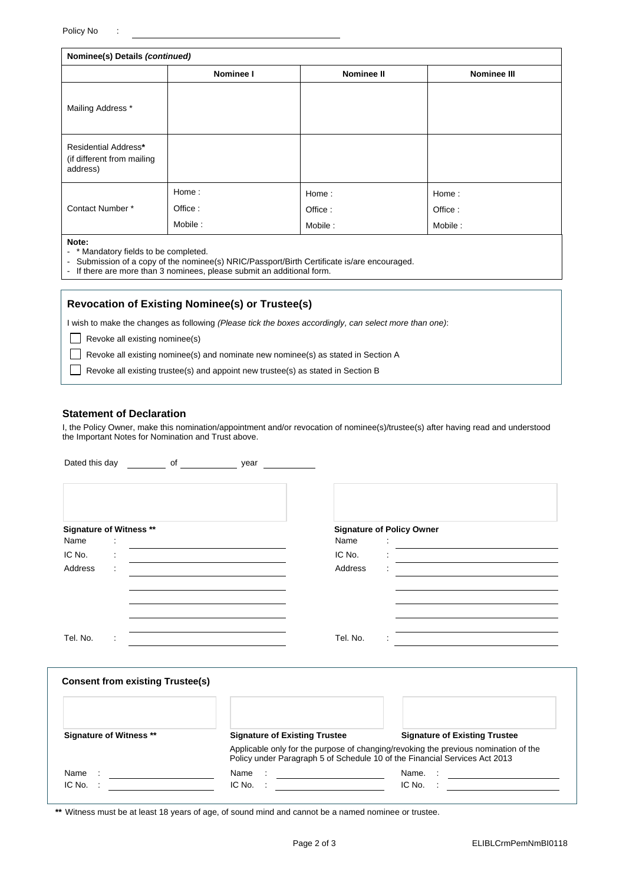|                                                                       | Nominee(s) Details (continued) |                   |                    |
|-----------------------------------------------------------------------|--------------------------------|-------------------|--------------------|
|                                                                       | Nominee I                      | <b>Nominee II</b> | <b>Nominee III</b> |
| Mailing Address *                                                     |                                |                   |                    |
| <b>Residential Address*</b><br>(if different from mailing<br>address) |                                |                   |                    |
|                                                                       | Home:                          | Home:             | Home:              |
| Contact Number*                                                       | Office:                        | Office:           | Office:            |
|                                                                       | Mobile:                        | Mobile:           | Mobile:            |
| Note:                                                                 |                                |                   |                    |

**Note:**

- \* Mandatory fields to be completed.

- Submission of a copy of the nominee(s) NRIC/Passport/Birth Certificate is/are encouraged.<br>- If there are more than 3 nominees, please submit an additional form.

If there are more than 3 nominees, please submit an additional form.

## **Revocation of Existing Nominee(s) or Trustee(s)**

I wish to make the changes as following *(Please tick the boxes accordingly, can select more than one)*:

 $\Box$  Revoke all existing nominee(s)

Revoke all existing nominee(s) and nominate new nominee(s) as stated in Section A

Revoke all existing trustee(s) and appoint new trustee(s) as stated in Section B

## **Statement of Declaration**

I, the Policy Owner, make this nomination/appointment and/or revocation of nominee(s)/trustee(s) after having read and understood the Important Notes for Nomination and Trust above.

| Dated this day<br>of                                 | year                                 |                                                           |                                                                                                                                                                   |
|------------------------------------------------------|--------------------------------------|-----------------------------------------------------------|-------------------------------------------------------------------------------------------------------------------------------------------------------------------|
|                                                      |                                      |                                                           |                                                                                                                                                                   |
| <b>Signature of Witness **</b>                       |                                      | <b>Signature of Policy Owner</b>                          |                                                                                                                                                                   |
| Name                                                 |                                      | Name                                                      | the contract of the contract of the contract of the contract of the contract of                                                                                   |
| IC No.                                               |                                      | IC No.                                                    |                                                                                                                                                                   |
| Address                                              |                                      | Address                                                   |                                                                                                                                                                   |
|                                                      |                                      |                                                           |                                                                                                                                                                   |
|                                                      |                                      |                                                           |                                                                                                                                                                   |
|                                                      |                                      |                                                           |                                                                                                                                                                   |
|                                                      |                                      |                                                           |                                                                                                                                                                   |
| Tel. No.                                             |                                      | Tel. No.                                                  |                                                                                                                                                                   |
|                                                      |                                      |                                                           |                                                                                                                                                                   |
|                                                      |                                      |                                                           |                                                                                                                                                                   |
| <b>Consent from existing Trustee(s)</b>              |                                      |                                                           |                                                                                                                                                                   |
|                                                      |                                      |                                                           |                                                                                                                                                                   |
|                                                      |                                      |                                                           |                                                                                                                                                                   |
| <b>Signature of Witness **</b>                       | <b>Signature of Existing Trustee</b> |                                                           | <b>Signature of Existing Trustee</b>                                                                                                                              |
|                                                      |                                      |                                                           | Applicable only for the purpose of changing/revoking the previous nomination of the<br>Policy under Paragraph 5 of Schedule 10 of the Financial Services Act 2013 |
| Name<br>the control of the control of the            | Name                                 | <u> 1980 - Johann Barn, mars eta bainar eta idazlea (</u> | Name.<br><u> 1989 - Andrea Station, amerikansk politik (</u>                                                                                                      |
| IC No.<br><u>and a strong that the strong strong</u> | IC No.                               |                                                           | IC No.                                                                                                                                                            |

**\*\*** Witness must be at least 18 years of age, of sound mind and cannot be a named nominee or trustee.